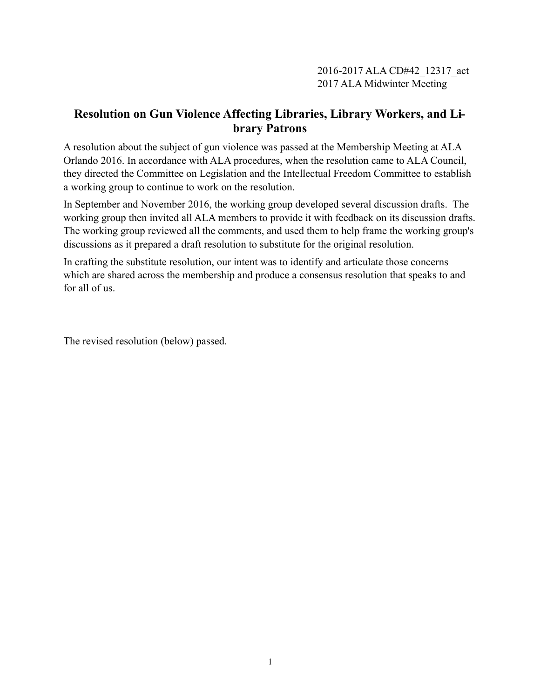## **Resolution on Gun Violence Affecting Libraries, Library Workers, and Library Patrons**

A resolution about the subject of gun violence was passed at the Membership Meeting at ALA Orlando 2016. In accordance with ALA procedures, when the resolution came to ALA Council, they directed the Committee on Legislation and the Intellectual Freedom Committee to establish a working group to continue to work on the resolution.

In September and November 2016, the working group developed several discussion drafts. The working group then invited all ALA members to provide it with feedback on its discussion drafts. The working group reviewed all the comments, and used them to help frame the working group's discussions as it prepared a draft resolution to substitute for the original resolution.

In crafting the substitute resolution, our intent was to identify and articulate those concerns which are shared across the membership and produce a consensus resolution that speaks to and for all of us.

The revised resolution (below) passed.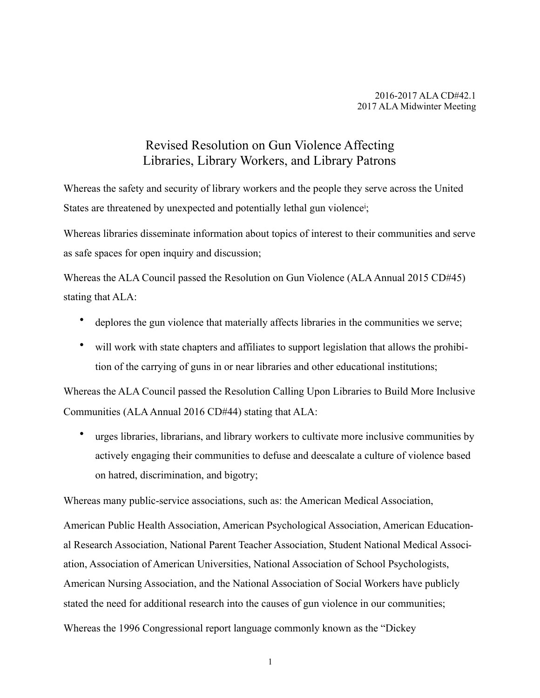## <span id="page-1-0"></span>Revised Resolution on Gun Violence Affecting Libraries, Library Workers, and Library Patrons

Whereas the safety and security of library workers and the people they serve across the United States are threatened by unexpected and potent[i](#page-3-0)ally lethal gun violence<sup>i</sup>;

Whereas libraries disseminate information about topics of interest to their communities and serve as safe spaces for open inquiry and discussion;

Whereas the ALA Council passed the Resolution on Gun Violence (ALA Annual 2015 CD#45) stating that ALA:

- deplores the gun violence that materially affects libraries in the communities we serve;
- will work with state chapters and affiliates to support legislation that allows the prohibition of the carrying of guns in or near libraries and other educational institutions;

Whereas the ALA Council passed the Resolution Calling Upon Libraries to Build More Inclusive Communities (ALA Annual 2016 CD#44) stating that ALA:

• urges libraries, librarians, and library workers to cultivate more inclusive communities by actively engaging their communities to defuse and deescalate a culture of violence based on hatred, discrimination, and bigotry;

Whereas many public-service associations, such as: the American Medical Association,

American Public Health Association, American Psychological Association, American Educational Research Association, National Parent Teacher Association, Student National Medical Association, Association of American Universities, National Association of School Psychologists, American Nursing Association, and the National Association of Social Workers have publicly stated the need for additional research into the causes of gun violence in our communities;

Whereas the 1996 Congressional report language commonly known as the "Dickey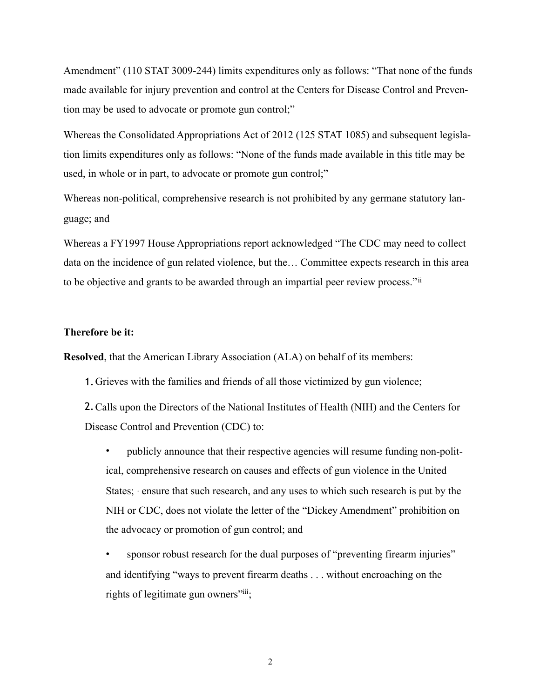Amendment" (110 STAT 3009-244) limits expenditures only as follows: "That none of the funds made available for injury prevention and control at the Centers for Disease Control and Prevention may be used to advocate or promote gun control;"

Whereas the Consolidated Appropriations Act of 2012 (125 STAT 1085) and subsequent legislation limits expenditures only as follows: "None of the funds made available in this title may be used, in whole or in part, to advocate or promote gun control;"

Whereas non-political, comprehensive research is not prohibited by any germane statutory language; and

Whereas a FY1997 House Appropriations report acknowledged "The CDC may need to collect data on the incidence of gun related violence, but the… Committee expects research in this area to be objective and grants to be awarded through an impartial peer review process."[ii](#page-3-1)

## **Therefore be it:**

**Resolved**, that the American Library Association (ALA) on behalf of its members:

<span id="page-2-0"></span>1.Grieves with the families and friends of all those victimized by gun violence;

2.Calls upon the Directors of the National Institutes of Health (NIH) and the Centers for Disease Control and Prevention (CDC) to:

• publicly announce that their respective agencies will resume funding non-political, comprehensive research on causes and effects of gun violence in the United States; · ensure that such research, and any uses to which such research is put by the NIH or CDC, does not violate the letter of the "Dickey Amendment" prohibition on the advocacy or promotion of gun control; and

sponsor robust research for the dual purposes of "preventing firearm injuries" and identifying "ways to prevent firearm deaths . . . without encroaching on the rights of legitimate gun owners"  $\dddot{ }$ [;](#page-3-2)

<span id="page-2-1"></span>2